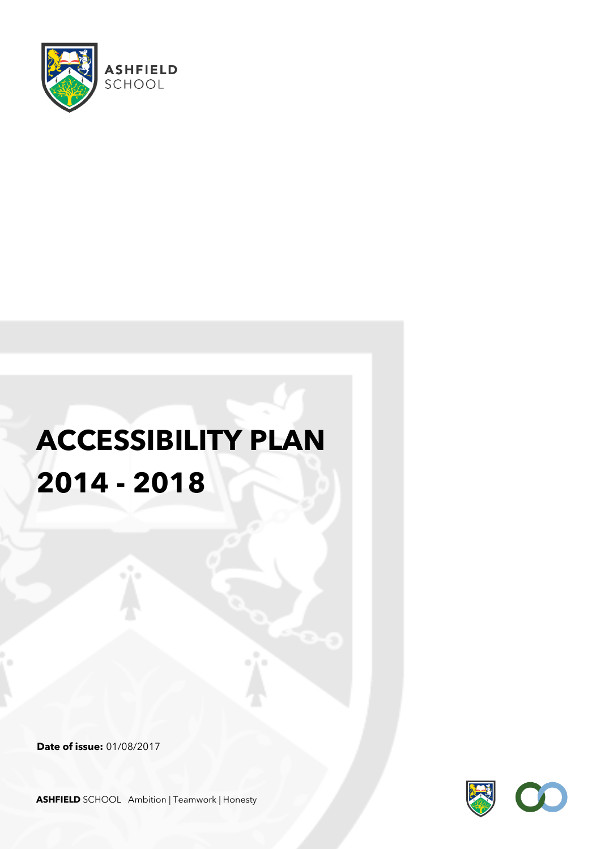

# **ACCESSIBILITY PLAN 2014 - 2018**

**Date of issue:** 01/08/2017



**ASHFIELD** SCHOOL Ambition | Teamwork | Honesty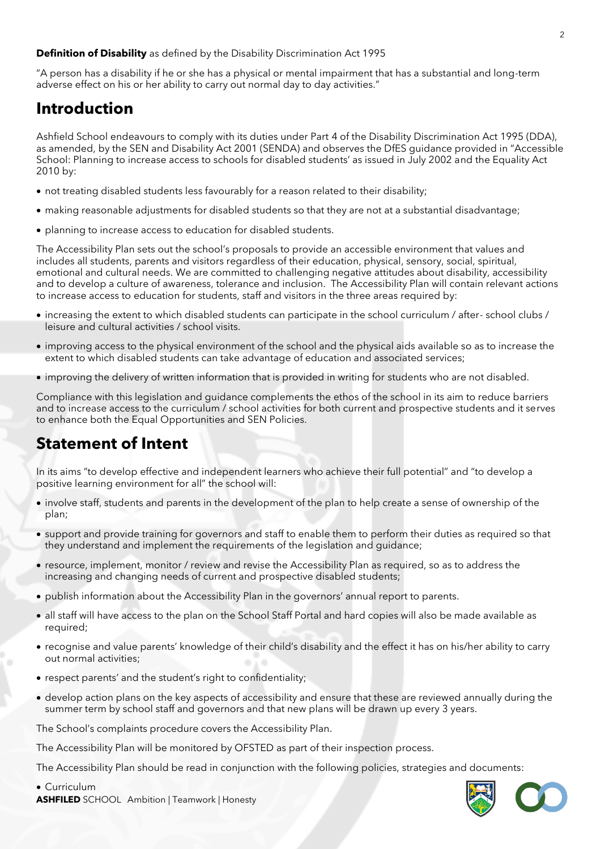**Definition of Disability** as defined by the Disability Discrimination Act 1995

"A person has a disability if he or she has a physical or mental impairment that has a substantial and long-term adverse effect on his or her ability to carry out normal day to day activities."

## **Introduction**

Ashfield School endeavours to comply with its duties under Part 4 of the Disability Discrimination Act 1995 (DDA), as amended, by the SEN and Disability Act 2001 (SENDA) and observes the DfES guidance provided in "Accessible School: Planning to increase access to schools for disabled students' as issued in July 2002 and the Equality Act 2010 by:

- not treating disabled students less favourably for a reason related to their disability;
- making reasonable adjustments for disabled students so that they are not at a substantial disadvantage;
- planning to increase access to education for disabled students.

The Accessibility Plan sets out the school's proposals to provide an accessible environment that values and includes all students, parents and visitors regardless of their education, physical, sensory, social, spiritual, emotional and cultural needs. We are committed to challenging negative attitudes about disability, accessibility and to develop a culture of awareness, tolerance and inclusion. The Accessibility Plan will contain relevant actions to increase access to education for students, staff and visitors in the three areas required by:

- increasing the extent to which disabled students can participate in the school curriculum / after- school clubs / leisure and cultural activities / school visits.
- improving access to the physical environment of the school and the physical aids available so as to increase the extent to which disabled students can take advantage of education and associated services;
- improving the delivery of written information that is provided in writing for students who are not disabled.

Compliance with this legislation and guidance complements the ethos of the school in its aim to reduce barriers and to increase access to the curriculum / school activities for both current and prospective students and it serves to enhance both the Equal Opportunities and SEN Policies.

### **Statement of Intent**

In its aims "to develop effective and independent learners who achieve their full potential" and "to develop a positive learning environment for all" the school will:

- involve staff, students and parents in the development of the plan to help create a sense of ownership of the plan;
- support and provide training for governors and staff to enable them to perform their duties as required so that they understand and implement the requirements of the legislation and guidance;
- resource, implement, monitor / review and revise the Accessibility Plan as required, so as to address the increasing and changing needs of current and prospective disabled students;
- publish information about the Accessibility Plan in the governors' annual report to parents.
- all staff will have access to the plan on the School Staff Portal and hard copies will also be made available as required;
- recognise and value parents' knowledge of their child's disability and the effect it has on his/her ability to carry out normal activities;
- respect parents' and the student's right to confidentiality;
- develop action plans on the key aspects of accessibility and ensure that these are reviewed annually during the summer term by school staff and governors and that new plans will be drawn up every 3 years.

The School's complaints procedure covers the Accessibility Plan.

The Accessibility Plan will be monitored by OFSTED as part of their inspection process.

The Accessibility Plan should be read in conjunction with the following policies, strategies and documents:

• Curriculum

**ASHFILED** SCHOOL Ambition | Teamwork | Honesty

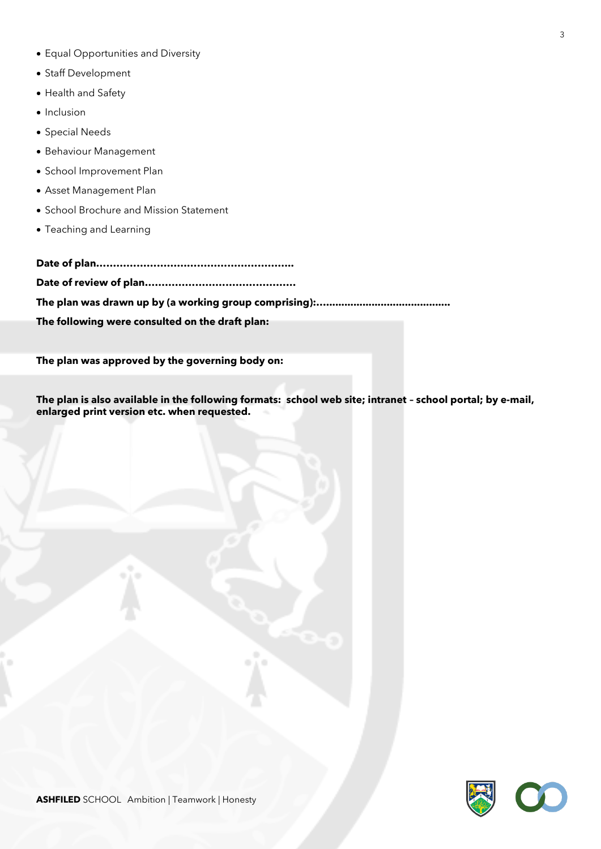- Equal Opportunities and Diversity
- Staff Development
- Health and Safety
- Inclusion
- Special Needs
- Behaviour Management
- School Improvement Plan
- Asset Management Plan
- School Brochure and Mission Statement
- Teaching and Learning

**Date of plan………………………………………………….. Date of review of plan……………………………………… The plan was drawn up by (a working group comprising):…......................................... The following were consulted on the draft plan:**

**The plan was approved by the governing body on:**

**The plan is also available in the following formats: school web site; intranet – school portal; by e-mail, enlarged print version etc. when requested.**

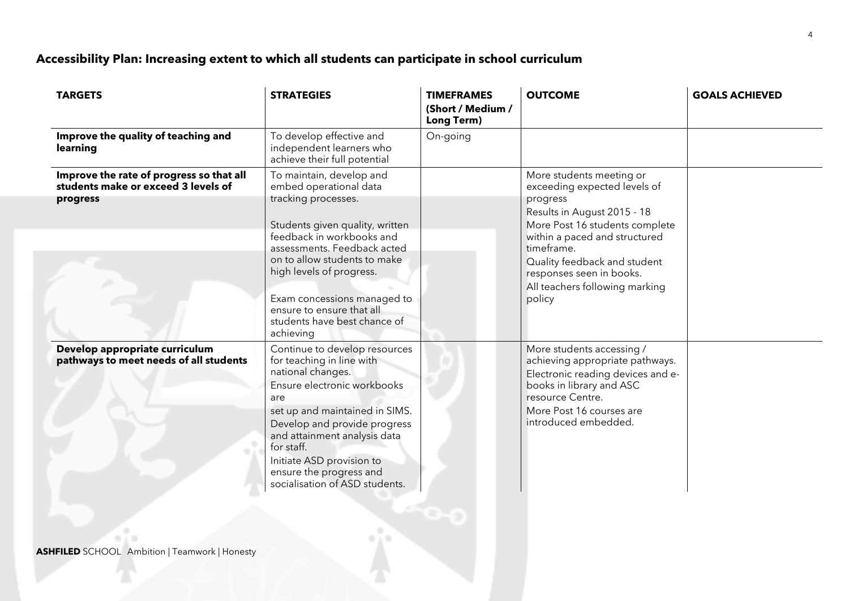## **Accessibility Plan: Increasing extent to which all students can participate in school curriculum**

| <b>TARGETS</b>                                                                              | <b>STRATEGIES</b>                                                                                                                                                                                                                                                                                                                             | <b>TIMEFRAMES</b><br>(Short / Medium /<br>Long Term) | <b>OUTCOME</b>                                                                                                                                                                                                                                                                               | <b>GOALS ACHIEVED</b> |
|---------------------------------------------------------------------------------------------|-----------------------------------------------------------------------------------------------------------------------------------------------------------------------------------------------------------------------------------------------------------------------------------------------------------------------------------------------|------------------------------------------------------|----------------------------------------------------------------------------------------------------------------------------------------------------------------------------------------------------------------------------------------------------------------------------------------------|-----------------------|
| Improve the quality of teaching and<br>learning                                             | To develop effective and<br>independent learners who<br>achieve their full potential                                                                                                                                                                                                                                                          | On-going                                             |                                                                                                                                                                                                                                                                                              |                       |
| Improve the rate of progress so that all<br>students make or exceed 3 levels of<br>progress | To maintain, develop and<br>embed operational data<br>tracking processes.<br>Students given quality, written<br>feedback in workbooks and<br>assessments. Feedback acted<br>on to allow students to make<br>high levels of progress.<br>Exam concessions managed to<br>ensure to ensure that all<br>students have best chance of<br>achieving |                                                      | More students meeting or<br>exceeding expected levels of<br>progress<br>Results in August 2015 - 18<br>More Post 16 students complete<br>within a paced and structured<br>timeframe.<br>Quality feedback and student<br>responses seen in books.<br>All teachers following marking<br>policy |                       |
| Develop appropriate curriculum<br>pathways to meet needs of all students                    | Continue to develop resources<br>for teaching in line with<br>national changes.<br>Ensure electronic workbooks<br>are<br>set up and maintained in SIMS.<br>Develop and provide progress<br>and attainment analysis data<br>for staff.<br>Initiate ASD provision to<br>ensure the progress and<br>socialisation of ASD students.               |                                                      | More students accessing /<br>achieving appropriate pathways.<br>Electronic reading devices and e-<br>books in library and ASC<br>resource Centre.<br>More Post 16 courses are<br>introduced embedded.                                                                                        |                       |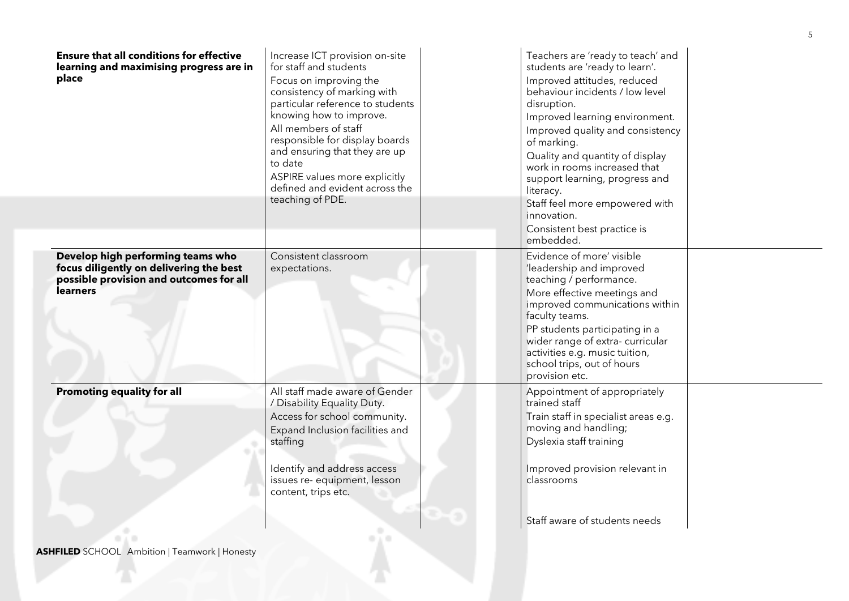| <b>Ensure that all conditions for effective</b><br>learning and maximising progress are in<br>place                                        | Increase ICT provision on-site<br>for staff and students<br>Focus on improving the<br>consistency of marking with<br>particular reference to students<br>knowing how to improve.<br>All members of staff<br>responsible for display boards<br>and ensuring that they are up<br>to date<br>ASPIRE values more explicitly<br>defined and evident across the<br>teaching of PDE. | Teachers are 'ready to teach' and<br>students are 'ready to learn'.<br>Improved attitudes, reduced<br>behaviour incidents / low level<br>disruption.<br>Improved learning environment.<br>Improved quality and consistency<br>of marking.<br>Quality and quantity of display<br>work in rooms increased that<br>support learning, progress and<br>literacy.<br>Staff feel more empowered with<br>innovation.<br>Consistent best practice is<br>embedded. |  |
|--------------------------------------------------------------------------------------------------------------------------------------------|-------------------------------------------------------------------------------------------------------------------------------------------------------------------------------------------------------------------------------------------------------------------------------------------------------------------------------------------------------------------------------|----------------------------------------------------------------------------------------------------------------------------------------------------------------------------------------------------------------------------------------------------------------------------------------------------------------------------------------------------------------------------------------------------------------------------------------------------------|--|
| Develop high performing teams who<br>focus diligently on delivering the best<br>possible provision and outcomes for all<br><b>learners</b> | Consistent classroom<br>expectations.                                                                                                                                                                                                                                                                                                                                         | Evidence of more' visible<br>'leadership and improved<br>teaching / performance.<br>More effective meetings and<br>improved communications within<br>faculty teams.<br>PP students participating in a<br>wider range of extra-curricular<br>activities e.g. music tuition,<br>school trips, out of hours<br>provision etc.                                                                                                                               |  |
| <b>Promoting equality for all</b>                                                                                                          | All staff made aware of Gender<br>/ Disability Equality Duty.<br>Access for school community.<br>Expand Inclusion facilities and<br>staffing<br>Identify and address access<br>issues re- equipment, lesson<br>content, trips etc.                                                                                                                                            | Appointment of appropriately<br>trained staff<br>Train staff in specialist areas e.g.<br>moving and handling;<br>Dyslexia staff training<br>Improved provision relevant in<br>classrooms                                                                                                                                                                                                                                                                 |  |
|                                                                                                                                            |                                                                                                                                                                                                                                                                                                                                                                               | Staff aware of students needs                                                                                                                                                                                                                                                                                                                                                                                                                            |  |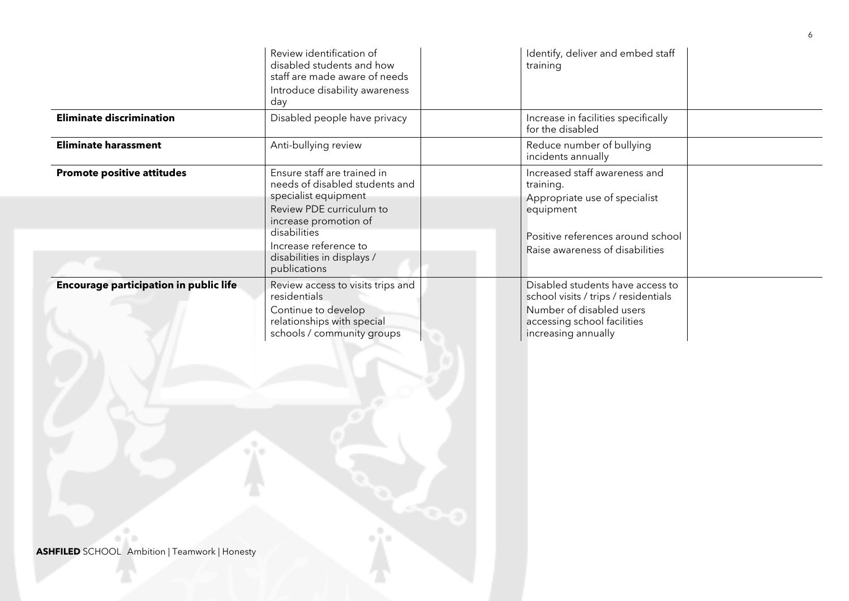|                                                                                                             | Review identification of<br>disabled students and how<br>staff are made aware of needs<br>Introduce disability awareness<br>day                                                                                                   | Identify, deliver and embed staff<br>training                                                                                                                    |
|-------------------------------------------------------------------------------------------------------------|-----------------------------------------------------------------------------------------------------------------------------------------------------------------------------------------------------------------------------------|------------------------------------------------------------------------------------------------------------------------------------------------------------------|
| <b>Eliminate discrimination</b>                                                                             | Disabled people have privacy                                                                                                                                                                                                      | Increase in facilities specifically<br>for the disabled                                                                                                          |
| <b>Eliminate harassment</b>                                                                                 | Anti-bullying review                                                                                                                                                                                                              | Reduce number of bullying<br>incidents annually                                                                                                                  |
| <b>Promote positive attitudes</b>                                                                           | Ensure staff are trained in<br>needs of disabled students and<br>specialist equipment<br>Review PDE curriculum to<br>increase promotion of<br>disabilities<br>Increase reference to<br>disabilities in displays /<br>publications | Increased staff awareness and<br>training.<br>Appropriate use of specialist<br>equipment<br>Positive references around school<br>Raise awareness of disabilities |
| <b>Encourage participation in public life</b><br>e.<br><b>ASHFILED</b> SCHOOL Ambition   Teamwork   Honesty | Review access to visits trips and<br>residentials<br>Continue to develop<br>relationships with special<br>schools / community groups                                                                                              | Disabled students have access to<br>school visits / trips / residentials<br>Number of disabled users<br>accessing school facilities<br>increasing annually       |

6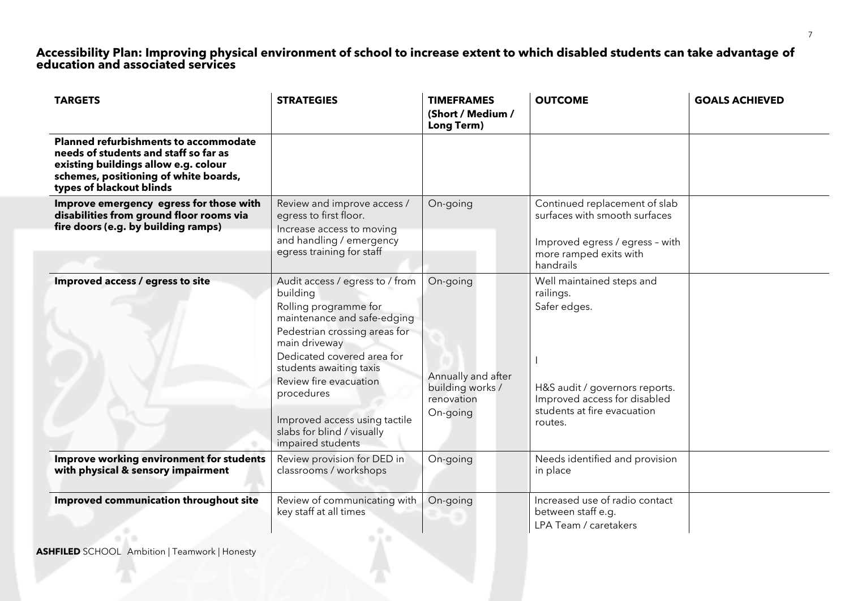#### **Accessibility Plan: Improving physical environment of school to increase extent to which disabled students can take advantage of education and associated services**

| <b>TARGETS</b>                                                                                                                                                                                     | <b>STRATEGIES</b>                                                                                                                                                                                                                                                                                                                          | <b>TIMEFRAMES</b><br>(Short / Medium /<br>Long Term)                         | <b>OUTCOME</b>                                                                                                                                                     | <b>GOALS ACHIEVED</b> |
|----------------------------------------------------------------------------------------------------------------------------------------------------------------------------------------------------|--------------------------------------------------------------------------------------------------------------------------------------------------------------------------------------------------------------------------------------------------------------------------------------------------------------------------------------------|------------------------------------------------------------------------------|--------------------------------------------------------------------------------------------------------------------------------------------------------------------|-----------------------|
| <b>Planned refurbishments to accommodate</b><br>needs of students and staff so far as<br>existing buildings allow e.g. colour<br>schemes, positioning of white boards,<br>types of blackout blinds |                                                                                                                                                                                                                                                                                                                                            |                                                                              |                                                                                                                                                                    |                       |
| Improve emergency egress for those with<br>disabilities from ground floor rooms via<br>fire doors (e.g. by building ramps)                                                                         | Review and improve access /<br>egress to first floor.<br>Increase access to moving<br>and handling / emergency<br>egress training for staff                                                                                                                                                                                                | On-going                                                                     | Continued replacement of slab<br>surfaces with smooth surfaces<br>Improved egress / egress - with<br>more ramped exits with<br>handrails                           |                       |
| Improved access / egress to site                                                                                                                                                                   | Audit access / egress to / from<br>building<br>Rolling programme for<br>maintenance and safe-edging<br>Pedestrian crossing areas for<br>main driveway<br>Dedicated covered area for<br>students awaiting taxis<br>Review fire evacuation<br>procedures<br>Improved access using tactile<br>slabs for blind / visually<br>impaired students | On-going<br>Annually and after<br>building works /<br>renovation<br>On-going | Well maintained steps and<br>railings.<br>Safer edges.<br>H&S audit / governors reports.<br>Improved access for disabled<br>students at fire evacuation<br>routes. |                       |
| Improve working environment for students<br>with physical & sensory impairment                                                                                                                     | Review provision for DED in<br>classrooms / workshops                                                                                                                                                                                                                                                                                      | On-going                                                                     | Needs identified and provision<br>in place                                                                                                                         |                       |
| Improved communication throughout site                                                                                                                                                             | Review of communicating with<br>key staff at all times                                                                                                                                                                                                                                                                                     | On-going                                                                     | Increased use of radio contact<br>between staff e.g.<br>LPA Team / caretakers                                                                                      |                       |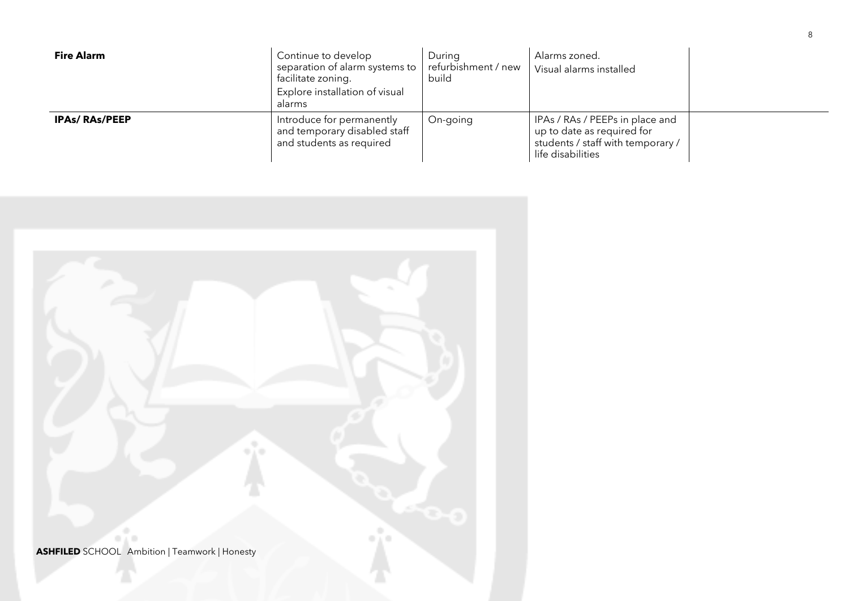| <b>Fire Alarm</b>    | Continue to develop<br>separation of alarm systems to<br>facilitate zoning.<br>Explore installation of visual<br>alarms | During<br>refurbishment / new<br>build | Alarms zoned.<br>Visual alarms installed                                                                                |  |
|----------------------|-------------------------------------------------------------------------------------------------------------------------|----------------------------------------|-------------------------------------------------------------------------------------------------------------------------|--|
| <b>IPAs/RAs/PEEP</b> | Introduce for permanently<br>and temporary disabled staff<br>and students as required                                   | On-going                               | IPAs / RAs / PEEPs in place and<br>up to date as required for<br>students / staff with temporary /<br>life disabilities |  |